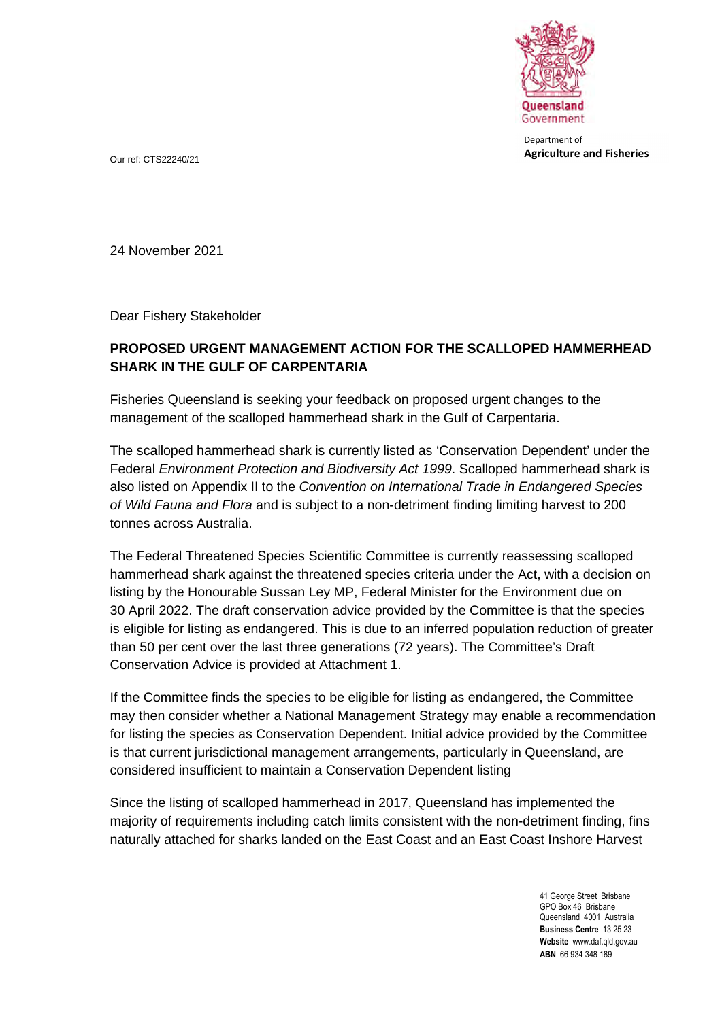

Department of **Agriculture and Fisheries** Our ref: CTS22240/21

24 November 2021

Dear Fishery Stakeholder

## **PROPOSED URGENT MANAGEMENT ACTION FOR THE SCALLOPED HAMMERHEAD SHARK IN THE GULF OF CARPENTARIA**

Fisheries Queensland is seeking your feedback on proposed urgent changes to the management of the scalloped hammerhead shark in the Gulf of Carpentaria.

The scalloped hammerhead shark is currently listed as 'Conservation Dependent' under the Federal *Environment Protection and Biodiversity Act 1999*. Scalloped hammerhead shark is also listed on Appendix II to the *Convention on International Trade in Endangered Species of Wild Fauna and Flora* and is subject to a non-detriment finding limiting harvest to 200 tonnes across Australia.

The Federal Threatened Species Scientific Committee is currently reassessing scalloped hammerhead shark against the threatened species criteria under the Act, with a decision on listing by the Honourable Sussan Ley MP, Federal Minister for the Environment due on 30 April 2022. The draft conservation advice provided by the Committee is that the species is eligible for listing as endangered. This is due to an inferred population reduction of greater than 50 per cent over the last three generations (72 years). The Committee's Draft Conservation Advice is provided at Attachment 1.

If the Committee finds the species to be eligible for listing as endangered, the Committee may then consider whether a National Management Strategy may enable a recommendation for listing the species as Conservation Dependent. Initial advice provided by the Committee is that current jurisdictional management arrangements, particularly in Queensland, are considered insufficient to maintain a Conservation Dependent listing

Since the listing of scalloped hammerhead in 2017, Queensland has implemented the majority of requirements including catch limits consistent with the non-detriment finding, fins naturally attached for sharks landed on the East Coast and an East Coast Inshore Harvest

> 41 George Street Brisbane GPO Box 46 Brisbane Queensland 4001 Australia **Business Centre** 13 25 23 **Website** www.daf.qld.gov.au **ABN** 66 934 348 189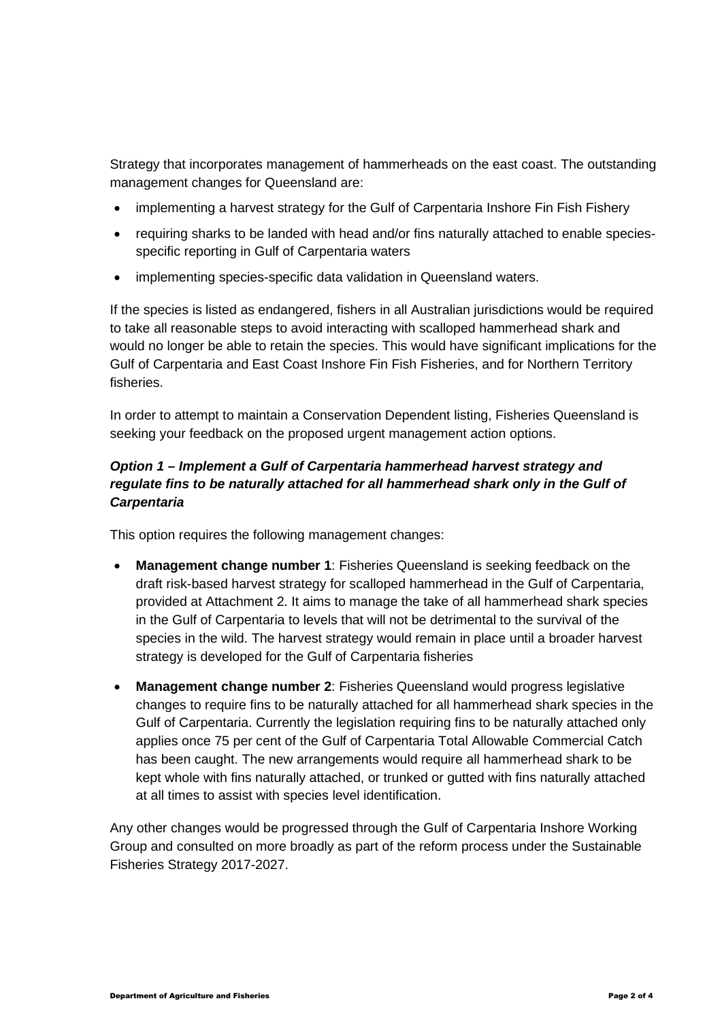Strategy that incorporates management of hammerheads on the east coast. The outstanding management changes for Queensland are:

- implementing a harvest strategy for the Gulf of Carpentaria Inshore Fin Fish Fishery
- requiring sharks to be landed with head and/or fins naturally attached to enable speciesspecific reporting in Gulf of Carpentaria waters
- implementing species-specific data validation in Queensland waters.

If the species is listed as endangered, fishers in all Australian jurisdictions would be required to take all reasonable steps to avoid interacting with scalloped hammerhead shark and would no longer be able to retain the species. This would have significant implications for the Gulf of Carpentaria and East Coast Inshore Fin Fish Fisheries, and for Northern Territory fisheries.

In order to attempt to maintain a Conservation Dependent listing, Fisheries Queensland is seeking your feedback on the proposed urgent management action options.

## *Option 1 – Implement a Gulf of Carpentaria hammerhead harvest strategy and*  regulate fins to be naturally attached for all hammerhead shark only in the Gulf of *Carpentaria*

This option requires the following management changes:

- **Management change number 1**: Fisheries Queensland is seeking feedback on the draft risk-based harvest strategy for scalloped hammerhead in the Gulf of Carpentaria, provided at Attachment 2. It aims to manage the take of all hammerhead shark species in the Gulf of Carpentaria to levels that will not be detrimental to the survival of the species in the wild. The harvest strategy would remain in place until a broader harvest strategy is developed for the Gulf of Carpentaria fisheries
- **Management change number 2**: Fisheries Queensland would progress legislative changes to require fins to be naturally attached for all hammerhead shark species in the Gulf of Carpentaria. Currently the legislation requiring fins to be naturally attached only applies once 75 per cent of the Gulf of Carpentaria Total Allowable Commercial Catch has been caught. The new arrangements would require all hammerhead shark to be kept whole with fins naturally attached, or trunked or gutted with fins naturally attached at all times to assist with species level identification.

Any other changes would be progressed through the Gulf of Carpentaria Inshore Working Group and consulted on more broadly as part of the reform process under the Sustainable Fisheries Strategy 2017-2027.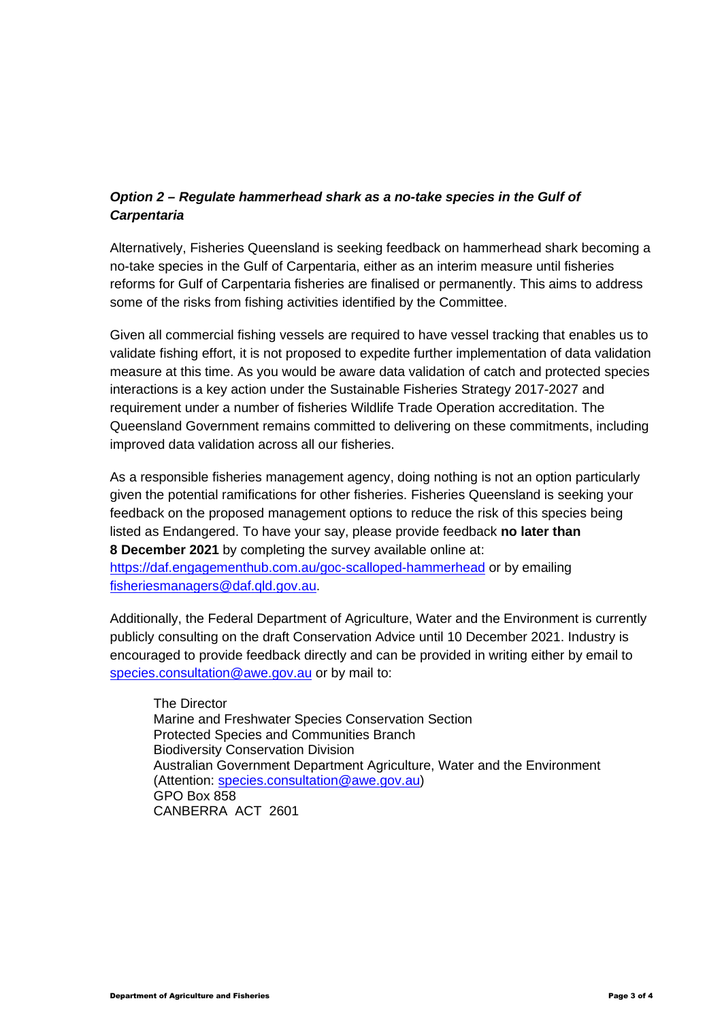## *Option 2 – Regulate hammerhead shark as a no-take species in the Gulf of Carpentaria*

Alternatively, Fisheries Queensland is seeking feedback on hammerhead shark becoming a no-take species in the Gulf of Carpentaria, either as an interim measure until fisheries reforms for Gulf of Carpentaria fisheries are finalised or permanently. This aims to address some of the risks from fishing activities identified by the Committee.

Given all commercial fishing vessels are required to have vessel tracking that enables us to validate fishing effort, it is not proposed to expedite further implementation of data validation measure at this time. As you would be aware data validation of catch and protected species interactions is a key action under the Sustainable Fisheries Strategy 2017-2027 and requirement under a number of fisheries Wildlife Trade Operation accreditation. The Queensland Government remains committed to delivering on these commitments, including improved data validation across all our fisheries.

As a responsible fisheries management agency, doing nothing is not an option particularly given the potential ramifications for other fisheries. Fisheries Queensland is seeking your feedback on the proposed management options to reduce the risk of this species being listed as Endangered. To have your say, please provide feedback **no later than 8 December 2021** by completing the survey available online at: <https://daf.engagementhub.com.au/goc-scalloped-hammerhead> or by emailing fisheriesmanagers@daf.qld.gov.au.

Additionally, the Federal Department of Agriculture, Water and the Environment is currently publicly consulting on the draft Conservation Advice until 10 December 2021. Industry is encouraged to provide feedback directly and can be provided in writing either by email to species.consultation@awe.gov.au or by mail to:

The Director Marine and Freshwater Species Conservation Section Protected Species and Communities Branch Biodiversity Conservation Division Australian Government Department Agriculture, Water and the Environment (Attention: species.consultation@awe.gov.au) GPO Box 858 CANBERRA ACT 2601